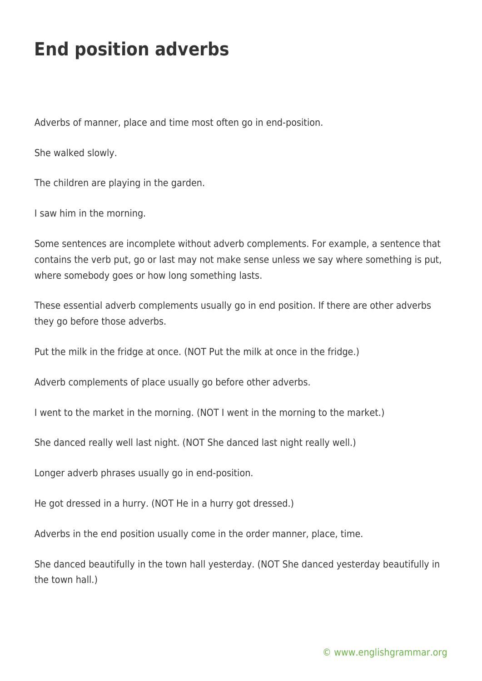## **End position adverbs**

Adverbs of manner, place and time most often go in end-position.

She walked slowly.

The children are playing in the garden.

I saw him in the morning.

Some sentences are incomplete without adverb complements. For example, a sentence that contains the verb put, go or last may not make sense unless we say where something is put, where somebody goes or how long something lasts.

These essential adverb complements usually go in end position. If there are other adverbs they go before those adverbs.

Put the milk in the fridge at once. (NOT Put the milk at once in the fridge.)

Adverb complements of place usually go before other adverbs.

I went to the market in the morning. (NOT I went in the morning to the market.)

She danced really well last night. (NOT She danced last night really well.)

Longer adverb phrases usually go in end-position.

He got dressed in a hurry. (NOT He in a hurry got dressed.)

Adverbs in the end position usually come in the order manner, place, time.

She danced beautifully in the town hall yesterday. (NOT She danced yesterday beautifully in the town hall.)